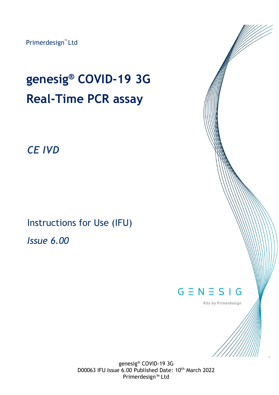Primerdesign<sup>™</sup> Ltd

# **genesig® COVID-19 3G Real-Time PCR assay**

## *CE IVD*

Instructions for Use (IFU)

*Issue 6.00*



1

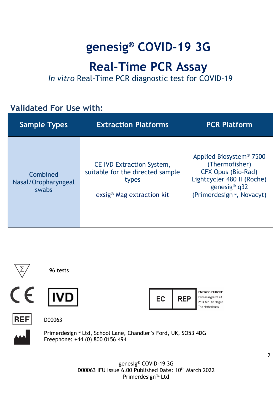# **genesig® COVID-19 3G**

# **Real-Time PCR Assay**

*In vitro* Real-Time PCR diagnostic test for COVID-19

## **Validated For Use with:**

| <b>Sample Types</b>                      | <b>Extraction Platforms</b>                                                                                            | <b>PCR Platform</b>                                                                                                                                                              |
|------------------------------------------|------------------------------------------------------------------------------------------------------------------------|----------------------------------------------------------------------------------------------------------------------------------------------------------------------------------|
| Combined<br>Nasal/Oropharyngeal<br>swabs | <b>CE IVD Extraction System,</b><br>suitable for the directed sample<br>types<br>exsig <sup>®</sup> Mag extraction kit | Applied Biosystem <sup>®</sup> 7500<br>(Thermofisher)<br>CFX Opus (Bio-Rad)<br>Lightcycler 480 II (Roche)<br>genesig <sup>®</sup> $q32$<br>(Primerdesign <sup>™</sup> , Novacyt) |



96 tests







**EMERGO EUROPE** Prinsessegracht 20 2514 AP The Haque The Netherlands

**REF** 

D00063



Primerdesign™ Ltd, School Lane, Chandler's Ford, UK, SO53 4DG Freephone: +44 (0) 800 0156 494

> genesig® COVID-19 3G D00063 IFU Issue 6.00 Published Date: 10<sup>th</sup> March 2022 Primerdesign™ Ltd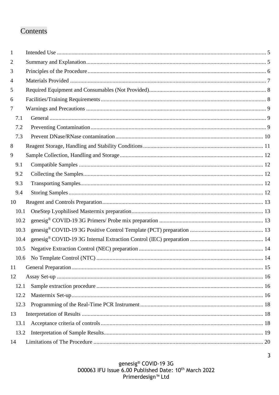## Contents

| 1              |  |
|----------------|--|
| $\overline{2}$ |  |
| 3              |  |
| $\overline{4}$ |  |
| 5              |  |
| 6              |  |
| $\tau$         |  |
| 7.1            |  |
| 7.2            |  |
| 7.3            |  |
| 8              |  |
| 9              |  |
| 9.1            |  |
| 9.2            |  |
| 9.3            |  |
| 9.4            |  |
| 10             |  |
| 10.1           |  |
| 10.2           |  |
| 10.3           |  |
| 10.4           |  |
| 10.5           |  |
|                |  |
| 11             |  |
| 12             |  |
| 12.1           |  |
| 12.2           |  |
| 12.3           |  |
| 13             |  |
| 13.1           |  |
| 13.2           |  |
| 14             |  |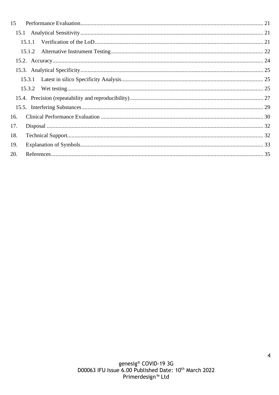| 15  |        |  |
|-----|--------|--|
|     | 15.1   |  |
|     |        |  |
|     | 15.1.2 |  |
|     |        |  |
|     |        |  |
|     | 15.3.1 |  |
|     | 15.3.2 |  |
|     |        |  |
|     |        |  |
| 16. |        |  |
| 17. |        |  |
| 18. |        |  |
| 19. |        |  |
| 20. |        |  |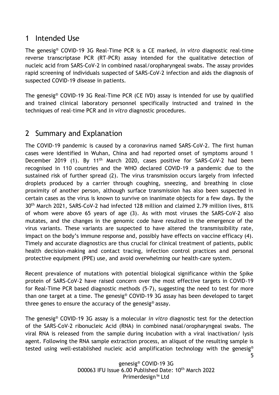## <span id="page-4-0"></span>1 Intended Use

The genesig® COVID-19 3G Real-Time PCR is a CE marked, *in vitro* diagnostic real-time reverse transcriptase PCR (RT-PCR) assay intended for the qualitative detection of nucleic acid from SARS-CoV-2 in combined nasal/oropharyngeal swabs. The assay provides rapid screening of individuals suspected of SARS-CoV-2 infection and aids the diagnosis of suspected COVID-19 disease in patients.

The genesig® COVID-19 3G Real-Time PCR (CE IVD) assay is intended for use by qualified and trained clinical laboratory personnel specifically instructed and trained in the techniques of real-time PCR and *in vitro* diagnostic procedures.

## <span id="page-4-1"></span>2 Summary and Explanation

The COVID-19 pandemic is caused by a coronavirus named SARS-CoV-2. The first human cases were identified in Wuhan, China and had reported onset of symptoms around 1 December 2019 (1). By 11<sup>th</sup> March 2020, cases positive for SARS-CoV-2 had been recognised in 110 countries and the WHO declared COVID-19 a pandemic due to the sustained risk of further spread (2). The virus transmission occurs largely from infected droplets produced by a carrier through coughing, sneezing, and breathing in close proximity of another person, although surface transmission has also been suspected in certain cases as the virus is known to survive on inanimate objects for a few days. By the 30th March 2021, SARS-CoV-2 had infected 128 million and claimed 2.79 million lives, 81% of whom were above 65 years of age (3). As with most viruses the SARS-CoV-2 also mutates, and the changes in the genomic code have resulted in the emergence of the virus variants. These variants are suspected to have altered the transmissibility rate, impact on the body's immune response and, possibly have effects on vaccine efficacy (4). Timely and accurate diagnostics are thus crucial for clinical treatment of patients, public health decision-making and contact tracing, infection control practices and personal protective equipment (PPE) use, and avoid overwhelming our health-care system.

Recent prevalence of mutations with potential biological significance within the Spike protein of SARS-CoV-2 have raised concern over the most effective targets in COVID-19 for Real-Time PCR based diagnostic methods (5-7), suggesting the need to test for more than one target at a time. The genesig® COVID-19 3G assay has been developed to target three genes to ensure the accuracy of the genesig® assay.

The genesig® COVID-19 3G assay is a molecular *in vitro* diagnostic test for the detection of the SARS-CoV-2 ribonucleic Acid (RNA) in combined nasal/oropharyngeal swabs. The viral RNA is released from the sample during incubation with a viral inactivation/ lysis agent. Following the RNA sample extraction process, an aliquot of the resulting sample is tested using well-established nucleic acid amplification technology with the genesig®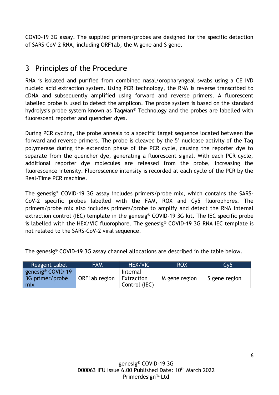COVID-19 3G assay. The supplied primers/probes are designed for the specific detection of SARS-CoV-2 RNA, including ORF1ab, the M gene and S gene.

## <span id="page-5-0"></span>3 Principles of the Procedure

RNA is isolated and purified from combined nasal/oropharyngeal swabs using a CE IVD nucleic acid extraction system. Using PCR technology, the RNA is reverse transcribed to cDNA and subsequently amplified using forward and reverse primers. A fluorescent labelled probe is used to detect the amplicon. The probe system is based on the standard hydrolysis probe system known as TaqMan® Technology and the probes are labelled with fluorescent reporter and quencher dyes.

During PCR cycling, the probe anneals to a specific target sequence located between the forward and reverse primers. The probe is cleaved by the 5' nuclease activity of the Taq polymerase during the extension phase of the PCR cycle, causing the reporter dye to separate from the quencher dye, generating a fluorescent signal. With each PCR cycle, additional reporter dye molecules are released from the probe, increasing the fluorescence intensity. Fluorescence intensity is recorded at each cycle of the PCR by the Real-Time PCR machine.

The genesig® COVID-19 3G assay includes primers/probe mix, which contains the SARS-CoV-2 specific probes labelled with the FAM, ROX and Cy5 fluorophores. The primers/probe mix also includes primers/probe to amplify and detect the RNA internal extraction control (IEC) template in the genesig® COVID-19 3G kit. The IEC specific probe is labelled with the HEX/VIC fluorophore. The genesig® COVID-19 3G RNA IEC template is not related to the SARS-CoV-2 viral sequence.

The genesig® COVID-19 3G assay channel allocations are described in the table below.

| <b>Reagent Label</b>                                    | <b>FAM</b>    | HEX/VIC                                 | <b>ROX</b>    | Cv5           |
|---------------------------------------------------------|---------------|-----------------------------------------|---------------|---------------|
| genesig <sup>®</sup> COVID-19<br>3G primer/probe<br>mix | ORF1ab region | Internal<br>Extraction<br>Control (IEC) | M gene region | S gene region |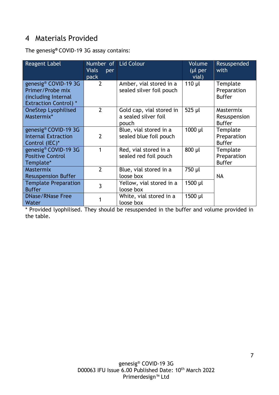## <span id="page-6-0"></span>4 Materials Provided

The genesig**®** COVID-19 3G assay contains:

| Reagent Label                                                                                   | Number of<br><b>Vials</b><br>per<br>pack | <b>Lid Colour</b>                                         | Volume<br>$(µl$ per<br>vial) | Resuspended<br>with                        |
|-------------------------------------------------------------------------------------------------|------------------------------------------|-----------------------------------------------------------|------------------------------|--------------------------------------------|
| genesig® COVID-19 3G<br>Primer/Probe mix<br>(including Internal<br><b>Extraction Control)</b> * | $\overline{2}$                           | Amber, vial stored in a<br>sealed silver foil pouch       | $110$ µl                     | Template<br>Preparation<br><b>Buffer</b>   |
| <b>OneStep Lyophilised</b><br>Mastermix*                                                        | $\overline{2}$                           | Gold cap, vial stored in<br>a sealed silver foil<br>pouch | 525 µl                       | Mastermix<br>Resuspension<br><b>Buffer</b> |
| genesig <sup>®</sup> COVID-19 3G<br><b>Internal Extraction</b><br>Control (IEC)*                | $\overline{2}$                           | Blue, vial stored in a<br>sealed blue foil pouch          | 1000 µl                      | Template<br>Preparation<br><b>Buffer</b>   |
| genesig® COVID-19 3G<br><b>Positive Control</b><br>Template*                                    |                                          | Red, vial stored in a<br>sealed red foil pouch            | 800 µl                       | Template<br>Preparation<br><b>Buffer</b>   |
| <b>Mastermix</b><br><b>Resuspension Buffer</b>                                                  | $\overline{2}$                           | Blue, vial stored in a<br>loose box                       | 750 µl                       | <b>NA</b>                                  |
| <b>Template Preparation</b><br><b>Buffer</b>                                                    | 3                                        | Yellow, vial stored in a<br>loose box                     | 1500 µl                      |                                            |
| <b>DNase/RNase Free</b><br>Water                                                                |                                          | White, vial stored in a<br>loose box                      | 1500 µl                      |                                            |

\* Provided lyophilised. They should be resuspended in the buffer and volume provided in the table.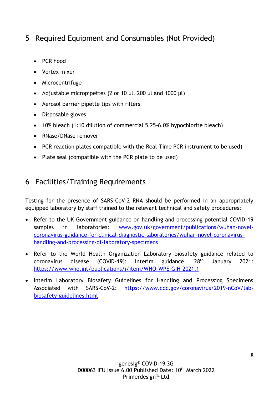## <span id="page-7-0"></span>5 Required Equipment and Consumables (Not Provided)

- PCR hood
- Vortex mixer
- Microcentrifuge
- Adjustable micropipettes (2 or 10  $\mu$ l, 200  $\mu$ l and 1000  $\mu$ l)
- Aerosol barrier pipette tips with filters
- Disposable gloves
- 10% bleach (1:10 dilution of commercial 5.25-6.0% hypochlorite bleach)
- RNase/DNase remover
- PCR reaction plates compatible with the Real-Time PCR instrument to be used)
- Plate seal (compatible with the PCR plate to be used)

## <span id="page-7-1"></span>6 Facilities/Training Requirements

Testing for the presence of SARS-CoV-2 RNA should be performed in an appropriately equipped laboratory by staff trained to the relevant technical and safety procedures:

- Refer to the UK Government guidance on handling and processing potential COVID-19 samples in laboratories: [www.gov.uk/government/publications/wuhan-novel](http://www.gov.uk/government/publications/wuhan-novel-coronavirus-guidance-for-clinical-diagnostic-laboratories/wuhan-novel-coronavirus-handling-and-processing-of-laboratory-specimens)[coronavirus-guidance-for-clinical-diagnostic-laboratories/wuhan-novel-coronavirus](http://www.gov.uk/government/publications/wuhan-novel-coronavirus-guidance-for-clinical-diagnostic-laboratories/wuhan-novel-coronavirus-handling-and-processing-of-laboratory-specimens)[handling-and-processing-of-laboratory-specimens](http://www.gov.uk/government/publications/wuhan-novel-coronavirus-guidance-for-clinical-diagnostic-laboratories/wuhan-novel-coronavirus-handling-and-processing-of-laboratory-specimens)
- Refer to the World Health Organization Laboratory biosafety guidance related to coronavirus disease (COVID-19): Interim guidance, 28th January 2021: <https://www.who.int/publications/i/item/WHO-WPE-GIH-2021.1>
- Interim Laboratory Biosafety Guidelines for Handling and Processing Specimens Associated with SARS-CoV-2: [https://www.cdc.gov/coronavirus/2019-nCoV/lab](https://www.cdc.gov/coronavirus/2019-nCoV/lab-biosafety-guidelines.html)[biosafety-guidelines.html](https://www.cdc.gov/coronavirus/2019-nCoV/lab-biosafety-guidelines.html)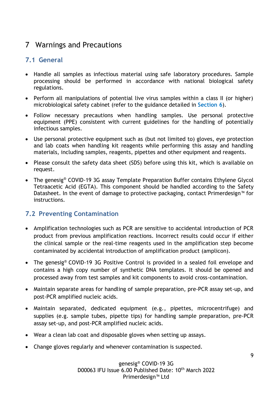## <span id="page-8-0"></span>7 Warnings and Precautions

#### <span id="page-8-1"></span>**7.1 General**

- Handle all samples as infectious material using safe laboratory procedures. Sample processing should be performed in accordance with national biological safety regulations.
- Perform all manipulations of potential live virus samples within a class II (or higher) microbiological safety cabinet (refer to the guidance detailed in **Section 6**).
- Follow necessary precautions when handling samples. Use personal protective equipment (PPE) consistent with current guidelines for the handling of potentially infectious samples.
- Use personal protective equipment such as (but not limited to) gloves, eye protection and lab coats when handling kit reagents while performing this assay and handling materials, including samples, reagents, pipettes and other equipment and reagents.
- Please consult the safety data sheet (SDS) before using this kit, which is available on request.
- The genesig<sup>®</sup> COVID-19 3G assay Template Preparation Buffer contains Ethylene Glycol Tetraacetic Acid (EGTA). This component should be handled according to the Safety Datasheet. In the event of damage to protective packaging, contact Primerdesign™ for instructions.

#### <span id="page-8-2"></span>**7.2 Preventing Contamination**

- Amplification technologies such as PCR are sensitive to accidental introduction of PCR product from previous amplification reactions. Incorrect results could occur if either the clinical sample or the real-time reagents used in the amplification step become contaminated by accidental introduction of amplification product (amplicon).
- The genesig<sup>®</sup> COVID-19 3G Positive Control is provided in a sealed foil envelope and contains a high copy number of synthetic DNA templates. It should be opened and processed away from test samples and kit components to avoid cross-contamination.
- Maintain separate areas for handling of sample preparation, pre-PCR assay set-up, and post-PCR amplified nucleic acids.
- Maintain separated, dedicated equipment (e.g., pipettes, microcentrifuge) and supplies (e.g. sample tubes, pipette tips) for handling sample preparation, pre-PCR assay set-up, and post-PCR amplified nucleic acids.
- Wear a clean lab coat and disposable gloves when setting up assays.
- Change gloves regularly and whenever contamination is suspected.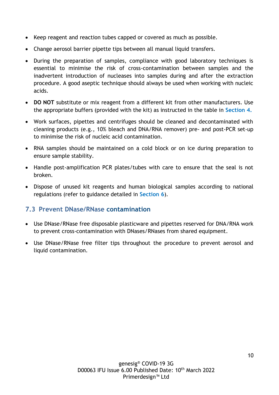- Keep reagent and reaction tubes capped or covered as much as possible.
- Change aerosol barrier pipette tips between all manual liquid transfers.
- During the preparation of samples, compliance with good laboratory techniques is essential to minimise the risk of cross-contamination between samples and the inadvertent introduction of nucleases into samples during and after the extraction procedure. A good aseptic technique should always be used when working with nucleic acids.
- **DO NOT** substitute or mix reagent from a different kit from other manufacturers. Use the appropriate buffers (provided with the kit) as instructed in the table in **Section 4.**
- Work surfaces, pipettes and centrifuges should be cleaned and decontaminated with cleaning products (e.g., 10% bleach and DNA/RNA remover) pre- and post-PCR set-up to minimise the risk of nucleic acid contamination.
- RNA samples should be maintained on a cold block or on ice during preparation to ensure sample stability.
- Handle post-amplification PCR plates/tubes with care to ensure that the seal is not broken.
- Dispose of unused kit reagents and human biological samples according to national regulations (refer to guidance detailed in **Section 6**).

#### <span id="page-9-0"></span>**7.3 Prevent DNase/RNase contamination**

- Use DNase/RNase free disposable plasticware and pipettes reserved for DNA/RNA work to prevent cross-contamination with DNases/RNases from shared equipment.
- Use DNase/RNase free filter tips throughout the procedure to prevent aerosol and liquid contamination.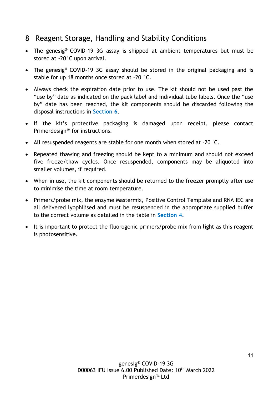## <span id="page-10-0"></span>8 Reagent Storage, Handling and Stability Conditions

- The genesig**®** COVID-19 3G assay is shipped at ambient temperatures but must be stored at -20°C upon arrival.
- The genesig**®** COVID-19 3G assay should be stored in the original packaging and is stable for up 18 months once stored at –20 °C.
- Always check the expiration date prior to use. The kit should not be used past the "use by" date as indicated on the pack label and individual tube labels. Once the "use by" date has been reached, the kit components should be discarded following the disposal instructions in **Section 6**.
- If the kit's protective packaging is damaged upon receipt, please contact Primerdesign™ for instructions.
- All resuspended reagents are stable for one month when stored at –20 °C.
- Repeated thawing and freezing should be kept to a minimum and should not exceed five freeze/thaw cycles. Once resuspended, components may be aliquoted into smaller volumes, if required.
- When in use, the kit components should be returned to the freezer promptly after use to minimise the time at room temperature.
- Primers/probe mix, the enzyme Mastermix, Positive Control Template and RNA IEC are all delivered lyophilised and must be resuspended in the appropriate supplied buffer to the correct volume as detailed in the table in **Section 4.**
- It is important to protect the fluorogenic primers/probe mix from light as this reagent is photosensitive.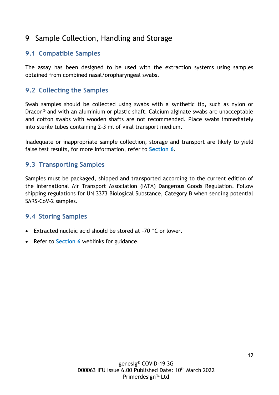## <span id="page-11-0"></span>9 Sample Collection, Handling and Storage

#### <span id="page-11-1"></span>**9.1 Compatible Samples**

The assay has been designed to be used with the extraction systems using samples obtained from combined nasal/oropharyngeal swabs.

#### <span id="page-11-2"></span>**9.2 Collecting the Samples**

Swab samples should be collected using swabs with a synthetic tip, such as nylon or Dracon® and with an aluminium or plastic shaft. Calcium alginate swabs are unacceptable and cotton swabs with wooden shafts are not recommended. Place swabs immediately into sterile tubes containing 2-3 ml of viral transport medium.

Inadequate or inappropriate sample collection, storage and transport are likely to yield false test results, for more information, refer to **Section 6**.

#### <span id="page-11-3"></span>**9.3 Transporting Samples**

Samples must be packaged, shipped and transported according to the current edition of the International Air Transport Association (IATA) Dangerous Goods Regulation. Follow shipping regulations for UN 3373 Biological Substance, Category B when sending potential SARS-CoV-2 samples.

#### <span id="page-11-4"></span>**9.4 Storing Samples**

- Extracted nucleic acid should be stored at –70 °C or lower.
- Refer to **Section 6** weblinks for guidance.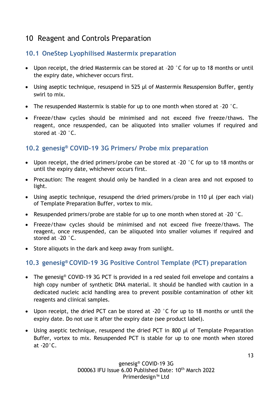## <span id="page-12-0"></span>10 Reagent and Controls Preparation

#### <span id="page-12-1"></span>**10.1 OneStep Lyophilised Mastermix preparation**

- Upon receipt, the dried Mastermix can be stored at -20 °C for up to 18 months or until the expiry date, whichever occurs first.
- Using aseptic technique, resuspend in 525 µl of Mastermix Resuspension Buffer, gently swirl to mix.
- The resuspended Mastermix is stable for up to one month when stored at -20 °C.
- Freeze/thaw cycles should be minimised and not exceed five freeze/thaws. The reagent, once resuspended, can be aliquoted into smaller volumes if required and stored at –20 °C.

#### <span id="page-12-2"></span>**10.2 genesig® COVID-19 3G Primers/ Probe mix preparation**

- Upon receipt, the dried primers/probe can be stored at -20 °C for up to 18 months or until the expiry date, whichever occurs first.
- Precaution: The reagent should only be handled in a clean area and not exposed to light.
- Using aseptic technique, resuspend the dried primers/probe in 110 µl (per each vial) of Template Preparation Buffer, vortex to mix.
- Resuspended primers/probe are stable for up to one month when stored at –20 °C.
- Freeze/thaw cycles should be minimised and not exceed five freeze/thaws. The reagent, once resuspended, can be aliquoted into smaller volumes if required and stored at –20 °C.
- Store aliquots in the dark and keep away from sunlight.

#### <span id="page-12-3"></span>**10.3 genesig® COVID-19 3G Positive Control Template (PCT) preparation**

- The genesig<sup>®</sup> COVID-19 3G PCT is provided in a red sealed foil envelope and contains a high copy number of synthetic DNA material. It should be handled with caution in a dedicated nucleic acid handling area to prevent possible contamination of other kit reagents and clinical samples.
- Upon receipt, the dried PCT can be stored at -20 °C for up to 18 months or until the expiry date. Do not use it after the expiry date (see product label).
- Using aseptic technique, resuspend the dried PCT in 800 µl of Template Preparation Buffer, vortex to mix. Resuspended PCT is stable for up to one month when stored at  $-20^\circ$ C.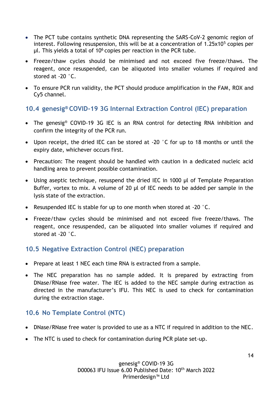- The PCT tube contains synthetic DNA representing the SARS-CoV-2 genomic region of interest. Following resuspension, this will be at a concentration of  $1.25 \times 10^5$  copies per  $\mu$ l. This vields a total of 10<sup>6</sup> copies per reaction in the PCR tube.
- Freeze/thaw cycles should be minimised and not exceed five freeze/thaws. The reagent, once resuspended, can be aliquoted into smaller volumes if required and stored at -20 °C.
- To ensure PCR run validity, the PCT should produce amplification in the FAM, ROX and Cy5 channel.

#### <span id="page-13-0"></span>**10.4 genesig® COVID-19 3G Internal Extraction Control (IEC) preparation**

- The genesig<sup>®</sup> COVID-19 3G IEC is an RNA control for detecting RNA inhibition and confirm the integrity of the PCR run.
- Upon receipt, the dried IEC can be stored at -20 °C for up to 18 months or until the expiry date, whichever occurs first.
- Precaution: The reagent should be handled with caution in a dedicated nucleic acid handling area to prevent possible contamination.
- Using aseptic technique, resuspend the dried IEC in 1000 µl of Template Preparation Buffer, vortex to mix. A volume of 20 µl of IEC needs to be added per sample in the lysis state of the extraction.
- Resuspended IEC is stable for up to one month when stored at -20 °C.
- Freeze/thaw cycles should be minimised and not exceed five freeze/thaws. The reagent, once resuspended, can be aliquoted into smaller volumes if required and stored at -20 °C.

#### <span id="page-13-1"></span>**10.5 Negative Extraction Control (NEC) preparation**

- Prepare at least 1 NEC each time RNA is extracted from a sample.
- The NEC preparation has no sample added. It is prepared by extracting from DNase/RNase free water. The IEC is added to the NEC sample during extraction as directed in the manufacturer's IFU. This NEC is used to check for contamination during the extraction stage.

#### <span id="page-13-2"></span>**10.6 No Template Control (NTC)**

- DNase/RNase free water is provided to use as a NTC if required in addition to the NEC.
- The NTC is used to check for contamination during PCR plate set-up.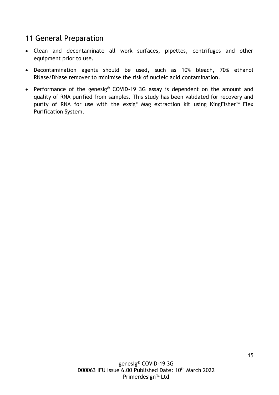## <span id="page-14-0"></span>11 General Preparation

- Clean and decontaminate all work surfaces, pipettes, centrifuges and other equipment prior to use.
- Decontamination agents should be used, such as 10% bleach, 70% ethanol RNase/DNase remover to minimise the risk of nucleic acid contamination.
- Performance of the genesig**®** COVID-19 3G assay is dependent on the amount and quality of RNA purified from samples. This study has been validated for recovery and purity of RNA for use with the exsig® Mag extraction kit using KingFisher<sup>™</sup> Flex Purification System.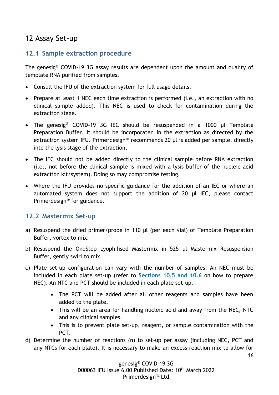## <span id="page-15-0"></span>12 Assay Set-up

#### <span id="page-15-1"></span>**12.1 Sample extraction procedure**

The genesig**®** COVID-19 3G assay results are dependent upon the amount and quality of template RNA purified from samples.

- Consult the IFU of the extraction system for full usage details.
- Prepare at least 1 NEC each time extraction is performed (i.e., an extraction with no clinical sample added). This NEC is used to check for contamination during the extraction stage.
- The genesig<sup>®</sup> COVID-19 3G IEC should be resuspended in a 1000 µl Template Preparation Buffer. It should be incorporated in the extraction as directed by the extraction system IFU. Primerdesign™ recommends 20 µl is added per sample, directly into the lysis stage of the extraction.
- The IEC should not be added directly to the clinical sample before RNA extraction (i.e., not before the clinical sample is mixed with a lysis buffer of the nucleic acid extraction kit/system). Doing so may compromise testing.
- Where the IFU provides no specific guidance for the addition of an IEC or where an automated system does not support the addition of 20 µl IEC, please contact Primerdesign™ for guidance.

#### <span id="page-15-2"></span>**12.2 Mastermix Set-up**

- a) Resuspend the dried primer/probe in 110 µl (per each vial) of Template Preparation Buffer, vortex to mix.
- b) Resuspend the OneStep Lyophilised Mastermix in 525 µl Mastermix Resuspension Buffer, gently swirl to mix.
- c) Plate set-up configuration can vary with the number of samples. An NEC must be included in each plate set-up (refer to **Sections 10.5 and 10.6** on how to prepare NEC). An NTC and PCT should be included in each plate set-up.
	- The PCT will be added after all other reagents and samples have been added to the plate.
	- This will be an area for handling nucleic acid and away from the NEC, NTC and any clinical samples.
	- This is to prevent plate set-up, reagent, or sample contamination with the PCT.
- d) Determine the number of reactions (n) to set-up per assay (including NEC, PCT and any NTCs for each plate). It is necessary to make an excess reaction mix to allow for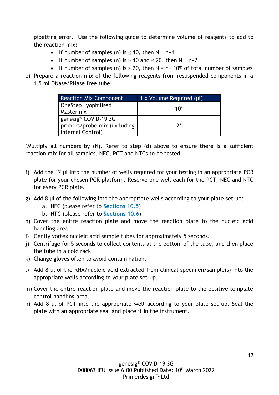pipetting error. Use the following guide to determine volume of reagents to add to the reaction mix:

- If number of samples (n) is  $\leq$  10, then N = n+1
- If number of samples (n) is  $> 10$  and  $\leq 20$ , then N = n+2
- If number of samples (n) is  $> 20$ , then  $N = n + 10\%$  of total number of samples
- e) Prepare a reaction mix of the following reagents from resuspended components in a 1.5 ml DNase/RNase free tube:

| <b>Reaction Mix Component</b>    | 1 x Volume Required (µl) |
|----------------------------------|--------------------------|
| OneStep Lyophilised              | 1በ*                      |
| Mastermix                        |                          |
| genesig <sup>®</sup> COVID-19 3G |                          |
| primers/probe mix (including     | 7*                       |
| Internal Control)                |                          |

\*Multiply all numbers by (N). Refer to step (d) above to ensure there is a sufficient reaction mix for all samples, NEC, PCT and NTCs to be tested.

- f) Add the 12 µl into the number of wells required for your testing in an appropriate PCR plate for your chosen PCR platform. Reserve one well each for the PCT, NEC and NTC for every PCR plate.
- g) Add 8 µl of the following into the appropriate wells according to your plate set-up:
	- a. NEC (please refer to **Sections 10.5**)
	- b. NTC (please refer to **Sections 10.6**)
- h) Cover the entire reaction plate and move the reaction plate to the nucleic acid handling area.
- i) Gently vortex nucleic acid sample tubes for approximately 5 seconds.
- j) Centrifuge for 5 seconds to collect contents at the bottom of the tube, and then place the tube in a cold rack.
- k) Change gloves often to avoid contamination.
- l) Add 8 µl of the RNA/nucleic acid extracted from clinical specimen/sample(s) into the appropriate wells according to your plate set-up.
- m) Cover the entire reaction plate and move the reaction plate to the positive template control handling area.
- n) Add 8 µl of PCT into the appropriate well according to your plate set up. Seal the plate with an appropriate seal and place it in the instrument.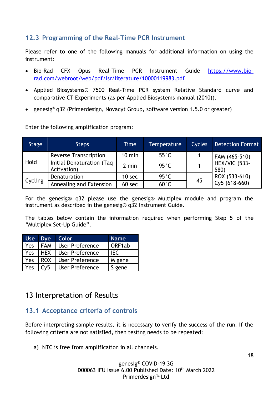#### <span id="page-17-0"></span>**12.3 Programming of the Real-Time PCR Instrument**

Please refer to one of the following manuals for additional information on using the instrument:

- Bio-Rad CFX Opus Real-Time PCR Instrument Guide [https://www.bio](https://www.bio-rad.com/webroot/web/pdf/lsr/literature/10000119983.pdf)[rad.com/webroot/web/pdf/lsr/literature/10000119983.pdf](https://www.bio-rad.com/webroot/web/pdf/lsr/literature/10000119983.pdf)
- Applied Biosystems® 7500 Real-Time PCR system Relative Standard curve and comparative CT Experiments (as per Applied Biosystems manual (2010)).
- genesig® q32 (Primerdesign, Novacyt Group, software version 1.5.0 or greater)

Enter the following amplification program:

| Stage   | <b>Steps</b>                             | Time              | <b>Temperature</b> | Cycles | <b>Detection Format</b>      |  |
|---------|------------------------------------------|-------------------|--------------------|--------|------------------------------|--|
|         | <b>Reverse Transcription</b>             | $10 \text{ min}$  | $55^{\circ}$ C     |        | FAM (465-510)                |  |
| Hold    | Initial Denaturation (Taq<br>Activation) | 2 min             | $95^{\circ}$ C     |        | <b>HEX/VIC (533-</b><br>580) |  |
|         | Denaturation                             | 10 <sub>sec</sub> | $95^{\circ}$ C     | 45     | ROX (533-610)                |  |
| Cycling | Annealing and Extension                  | 60 sec            | $60^{\circ}$ C     |        | Cy5 (618-660)                |  |

For the genesig® q32 please use the genesig® Multiplex module and program the instrument as described in the genesig® q32 Instrument Guide.

The tables below contain the information required when performing Step 5 of the "Multiplex Set-Up Guide".

|     | Use Dye Color |                        | <b>Name</b> |
|-----|---------------|------------------------|-------------|
| Yes | <b>FAM</b>    | <b>User Preference</b> | ORF1ab      |
| Yes | <b>HEX</b>    | <b>User Preference</b> | IEC         |
| Yes | <b>ROX</b>    | <b>User Preference</b> | M gene      |
| Yes | Cv5           | User Preference        | S gene      |

## <span id="page-17-1"></span>13 Interpretation of Results

#### <span id="page-17-2"></span>**13.1 Acceptance criteria of controls**

Before interpreting sample results, it is necessary to verify the success of the run. If the following criteria are not satisfied, then testing needs to be repeated:

a) NTC is free from amplification in all channels.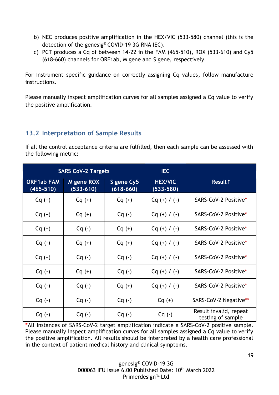- b) NEC produces positive amplification in the HEX/VIC (533-580) channel (this is the detection of the genesig**®** COVID-19 3G RNA IEC).
- c) PCT produces a Cq of between 14-22 in the FAM (465-510), ROX (533-610) and Cy5 (618-660) channels for ORF1ab, M gene and S gene, respectively.

For instrument specific guidance on correctly assigning Cq values, follow manufacture instructions.

Please manually inspect amplification curves for all samples assigned a Cq value to verify the positive amplification.

#### <span id="page-18-0"></span>**13.2 Interpretation of Sample Results**

If all the control acceptance criteria are fulfilled, then each sample can be assessed with the following metric:

|                                    | <b>SARS CoV-2 Targets</b>   |                             | IEC                             |                                             |
|------------------------------------|-----------------------------|-----------------------------|---------------------------------|---------------------------------------------|
| <b>ORF1ab FAM</b><br>$(465 - 510)$ | M gene ROX<br>$(533 - 610)$ | S gene Cy5<br>$(618 - 660)$ | <b>HEX/VIC</b><br>$(533 - 580)$ | <b>Result 1</b>                             |
| $Cq (+)$                           | $Cq (+)$                    | $Cq (+)$                    | $Cq (+) / (-)$                  | SARS-CoV-2 Positive*                        |
| $Cq (+)$                           | $Cq (+)$                    | $Cq(-)$                     | $Cq (+) / (-)$                  | SARS-CoV-2 Positive*                        |
| $Cq (+)$                           | $Cq(-)$                     | $Cq (+)$                    | $Cq (+) / (-)$                  | SARS-CoV-2 Positive*                        |
| $Cq(-)$                            | $Cq (+)$                    | $Cq (+)$                    | $Cq (+) / (-)$                  | SARS-CoV-2 Positive*                        |
| $Cq (+)$                           | $Cq(-)$                     | $Cq(-)$                     | $Cq (+) / (-)$                  | SARS-CoV-2 Positive*                        |
| $Cq(-)$                            | $Cq (+)$                    | $Cq(-)$                     | $Cq (+) / (-)$                  | SARS-CoV-2 Positive*                        |
| $Cq(-)$                            | $Cq(-)$                     | $Cq (+)$                    | $Cq (+) / (-)$                  | SARS-CoV-2 Positive*                        |
| $Cq(-)$                            | $Cq(-)$                     | $Cq(-)$                     | $Cq (+)$                        | SARS-CoV-2 Negative**                       |
| $Cq(-)$                            | $Cq(-)$                     | $Cq(-)$                     | $Cq(-)$                         | Result invalid, repeat<br>testing of sample |

**\***All instances of SARS-CoV-2 target amplification indicate a SARS-CoV-2 positive sample. Please manually inspect amplification curves for all samples assigned a Cq value to verify the positive amplification. All results should be interpreted by a health care professional in the context of patient medical history and clinical symptoms.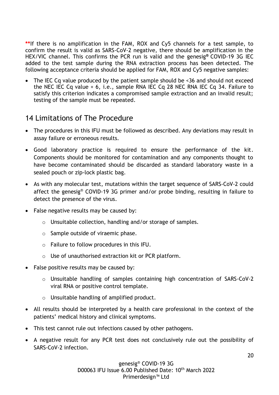**\*\***If there is no amplification in the FAM, ROX and Cy5 channels for a test sample, to confirm the result is valid as SARS-CoV-2 negative, there should be amplification in the HEX/VIC channel. This confirms the PCR run is valid and the genesig**®** COVID-19 3G IEC added to the test sample during the RNA extraction process has been detected. The following acceptance criteria should be applied for FAM, ROX and Cy5 negative samples:

• The IEC Cq value produced by the patient sample should be <36 and should not exceed the NEC IEC Cq value + 6, i.e., sample RNA IEC Cq 28 NEC RNA IEC Cq 34. Failure to satisfy this criterion indicates a compromised sample extraction and an invalid result; testing of the sample must be repeated.

## <span id="page-19-0"></span>14 Limitations of The Procedure

- The procedures in this IFU must be followed as described. Any deviations may result in assay failure or erroneous results.
- Good laboratory practice is required to ensure the performance of the kit. Components should be monitored for contamination and any components thought to have become contaminated should be discarded as standard laboratory waste in a sealed pouch or zip-lock plastic bag.
- As with any molecular test, mutations within the target sequence of SARS-CoV-2 could affect the genesig® COVID-19 3G primer and/or probe binding, resulting in failure to detect the presence of the virus.
- False negative results may be caused by:
	- o Unsuitable collection, handling and/or storage of samples.
	- o Sample outside of viraemic phase.
	- $\circ$  Failure to follow procedures in this IFU.
	- o Use of unauthorised extraction kit or PCR platform.
- False positive results may be caused by:
	- o Unsuitable handling of samples containing high concentration of SARS-CoV-2 viral RNA or positive control template.
	- o Unsuitable handling of amplified product.
- All results should be interpreted by a health care professional in the context of the patients' medical history and clinical symptoms.
- This test cannot rule out infections caused by other pathogens.
- A negative result for any PCR test does not conclusively rule out the possibility of SARS-CoV-2 infection.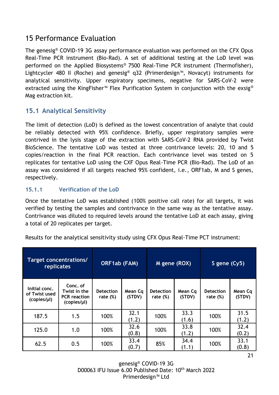## <span id="page-20-0"></span>15 Performance Evaluation

The genesig® COVID-19 3G assay performance evaluation was performed on the CFX Opus Real-Time PCR instrument (Bio-Rad). A set of additional testing at the LoD level was performed on the Applied Biosystems® 7500 Real-Time PCR instrument (Thermofisher), Lightcycler 480 II (Roche) and genesig® q32 (Primerdesign™, Novacyt) instruments for analytical sensitivity. Upper respiratory specimens, negative for SARS-CoV-2 were extracted using the KingFisher<sup>™</sup> Flex Purification System in conjunction with the exsig<sup>®</sup> Mag extraction kit.

#### <span id="page-20-1"></span>**15.1 Analytical Sensitivity**

The limit of detection (LoD) is defined as the lowest concentration of analyte that could be reliably detected with 95% confidence. Briefly, upper respiratory samples were contrived in the lysis stage of the extraction with SARS-CoV-2 RNA provided by Twist BioScience. The tentative LoD was tested at three contrivance levels: 20, 10 and 5 copies/reaction in the final PCR reaction. Each contrivance level was tested on 5 replicates for tentative LoD using the CXF Opus Real-Time PCR (Bio-Rad). The LoD of an assay was considered if all targets reached 95% confident, i.e., ORF1ab, M and S genes, respectively.

#### <span id="page-20-2"></span>**15.1.1 Verification of the LoD**

Once the tentative LoD was established (100% positive call rate) for all targets, it was verified by testing the samples and contrivance in the same way as the tentative assay. Contrivance was diluted to required levels around the tentative LoD at each assay, giving a total of 20 replicates per target.

| Target concentrations/<br><b>replicates</b>   |                                                                | ORF1ab (FAM)                    |                   | M gene (ROX)                    |                   | S gene (Cy5)                    |                   |
|-----------------------------------------------|----------------------------------------------------------------|---------------------------------|-------------------|---------------------------------|-------------------|---------------------------------|-------------------|
| Initial conc.<br>of Twist used<br>(copies/µl) | Conc. of<br>Twist in the<br><b>PCR</b> reaction<br>(copies/µl) | <b>Detection</b><br>rate $(\%)$ | Mean Cq<br>(STDV) | <b>Detection</b><br>rate $(\%)$ | Mean Cq<br>(STDV) | <b>Detection</b><br>rate $(\%)$ | Mean Cq<br>(STDV) |
| 187.5                                         | 1.5                                                            | 100%                            | 32.1<br>(1.2)     | 100%                            | 33.3<br>(1.6)     | 100%                            | 31.5<br>(1.2)     |
| 125.0                                         | 1.0                                                            | 100%                            | 32.6<br>(0.8)     | 100%                            | 33.8<br>(1.2)     | 100%                            | 32.4<br>(0.2)     |
| 62.5                                          | 0.5                                                            | 100%                            | 33.4<br>(0.7)     | 85%                             | 34.4<br>(1.1)     | 100%                            | 33.1<br>(0.8)     |

Results for the analytical sensitivity study using CFX Opus Real-Time PCT instrument:

genesig® COVID-19 3G D00063 IFU Issue 6.00 Published Date: 10<sup>th</sup> March 2022 Primerdesign™ Ltd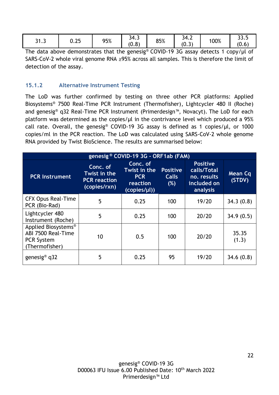| 21<br>J I .J | 0.25 | 95% | -<br>┑⊿<br>34.3<br>(0.8) | 85% | -<br>34.2<br>$\sim$<br>$\overline{\phantom{0}}$<br>∣ ∪ . J | 100% | ົ<br>ວວ.ວ<br>$\sqrt{ }$<br>(0.6) |
|--------------|------|-----|--------------------------|-----|------------------------------------------------------------|------|----------------------------------|
|              |      |     |                          |     |                                                            |      |                                  |

The data above demonstrates that the genesig® COVID-19 3G assay detects 1 copy/µl of SARS-CoV-2 whole viral genome RNA ≥95% across all samples. This is therefore the limit of detection of the assay.

#### <span id="page-21-0"></span>**15.1.2 Alternative Instrument Testing**

The LoD was further confirmed by testing on three other PCR platforms: Applied Biosystems® 7500 Real-Time PCR Instrument (Thermofisher), Lightcycler 480 II (Roche) and genesig® q32 Real-Time PCR Instrument (Primerdesign™, Novacyt). The LoD for each platform was determined as the copies/ $\mu$ l in the contrivance level which produced a 95% call rate. Overall, the genesig® COVID-19 3G assay is defined as 1 copies/µl, or 1000 copies/ml in the PCR reaction. The LoD was calculated using SARS-CoV-2 whole genome RNA provided by Twist BioScience. The results are summarised below:

| genesig <sup>®</sup> COVID-19 3G - ORF1ab (FAM)                                              |                                                                                                                                                              |      |                 |                                                                          |                          |  |  |  |  |
|----------------------------------------------------------------------------------------------|--------------------------------------------------------------------------------------------------------------------------------------------------------------|------|-----------------|--------------------------------------------------------------------------|--------------------------|--|--|--|--|
| <b>PCR Instrument</b>                                                                        | Conc. of<br>Conc. of<br>Twist in the<br>Twist in the<br><b>Calls</b><br><b>PCR</b><br><b>PCR</b> reaction<br>(%)<br>reaction<br>(copies/rxn)<br>(copies/µl)) |      | <b>Positive</b> | <b>Positive</b><br>calls/Total<br>no. results<br>included on<br>analysis | <b>Mean Cq</b><br>(STDV) |  |  |  |  |
| <b>CFX Opus Real-Time</b><br>PCR (Bio-Rad)                                                   | 5                                                                                                                                                            | 0.25 | 100             | 19/20                                                                    | 34.3(0.8)                |  |  |  |  |
| Lightcycler 480<br>Instrument (Roche)                                                        | 5                                                                                                                                                            | 0.25 | 100             | 20/20                                                                    | 34.9(0.5)                |  |  |  |  |
| Applied Biosystems <sup>®</sup><br>ABI 7500 Real-Time<br><b>PCR System</b><br>(Thermofisher) | 10                                                                                                                                                           | 0.5  | 100             | 20/20                                                                    | 35.35<br>(1.3)           |  |  |  |  |
| genesig <sup>®</sup> $q32$                                                                   | 5                                                                                                                                                            | 0.25 | 95              | 19/20                                                                    | 34.6(0.8)                |  |  |  |  |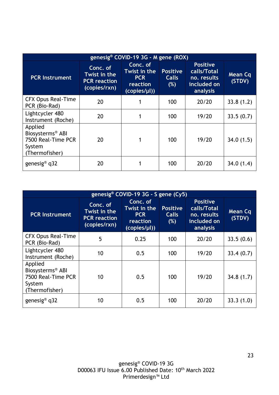| genesig® COVID-19 3G - M gene (ROX)                                                       |                                                                 |                                                                    |                                        |                                                                          |                   |  |  |  |
|-------------------------------------------------------------------------------------------|-----------------------------------------------------------------|--------------------------------------------------------------------|----------------------------------------|--------------------------------------------------------------------------|-------------------|--|--|--|
| <b>PCR Instrument</b>                                                                     | Conc. of<br>Twist in the<br><b>PCR</b> reaction<br>(copies/rxn) | Conc. of<br>Twist in the<br><b>PCR</b><br>reaction<br>(copies/µl)) | <b>Positive</b><br><b>Calls</b><br>(%) | <b>Positive</b><br>calls/Total<br>no. results<br>included on<br>analysis | Mean Cq<br>(STDV) |  |  |  |
| <b>CFX Opus Real-Time</b><br>PCR (Bio-Rad)                                                | 20                                                              |                                                                    | 100                                    | 20/20                                                                    | 33.8(1.2)         |  |  |  |
| Lightcycler 480<br>Instrument (Roche)                                                     | 20                                                              |                                                                    | 100                                    | 19/20                                                                    | 33.5(0.7)         |  |  |  |
| Applied<br>Biosysterms <sup>®</sup> ABI<br>7500 Real-Time PCR<br>System<br>(Thermofisher) | 20                                                              | 1                                                                  | 100                                    | 19/20                                                                    | 34.0(1.5)         |  |  |  |
| genesig <sup>®</sup> q32                                                                  | 20                                                              |                                                                    | 100                                    | 20/20                                                                    | 34.0(1.4)         |  |  |  |

| genesig® COVID-19 3G - S gene (Cy5)                                                       |                                                                 |                                                                    |                                        |                                                                          |                   |  |  |
|-------------------------------------------------------------------------------------------|-----------------------------------------------------------------|--------------------------------------------------------------------|----------------------------------------|--------------------------------------------------------------------------|-------------------|--|--|
| <b>PCR Instrument</b>                                                                     | Conc. of<br>Twist in the<br><b>PCR</b> reaction<br>(copies/rxn) | Conc. of<br>Twist in the<br><b>PCR</b><br>reaction<br>(copies/µl)) | <b>Positive</b><br><b>Calls</b><br>(%) | <b>Positive</b><br>calls/Total<br>no. results<br>included on<br>analysis | Mean Cq<br>(STDV) |  |  |
| <b>CFX Opus Real-Time</b><br>PCR (Bio-Rad)                                                | 5                                                               | 0.25                                                               | 100                                    | 20/20                                                                    | 33.5(0.6)         |  |  |
| Lightcycler 480<br>Instrument (Roche)                                                     | 10                                                              | 0.5                                                                | 100                                    | 19/20                                                                    | 33.4(0.7)         |  |  |
| Applied<br>Biosysterms <sup>®</sup> ABI<br>7500 Real-Time PCR<br>System<br>(Thermofisher) | 10                                                              | 0.5                                                                | 100                                    | 19/20                                                                    | 34.8(1.7)         |  |  |
| genesig <sup>®</sup> $q32$                                                                | 10                                                              | 0.5                                                                | 100                                    | 20/20                                                                    | 33.3(1.0)         |  |  |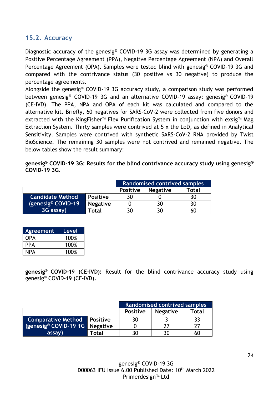#### <span id="page-23-0"></span>**15.2. Accuracy**

Diagnostic accuracy of the genesig® COVID-19 3G assay was determined by generating a Positive Percentage Agreement (PPA), Negative Percentage Agreement (NPA) and Overall Percentage Agreement (OPA). Samples were tested blind with genesig® COVID-19 3G and compared with the contrivance status (30 positive vs 30 negative) to produce the percentage agreements.

Alongside the genesig® COVID-19 3G accuracy study, a comparison study was performed between genesig® COVID-19 3G and an alternative COVID-19 assay: genesig® COVID-19 (CE-IVD). The PPA, NPA and OPA of each kit was calculated and compared to the alternative kit. Briefly, 60 negatives for SARS-CoV-2 were collected from five donors and extracted with the KingFisher™ Flex Purification System in conjunction with exsig™ Mag Extraction System. Thirty samples were contrived at 5 x the LoD, as defined in Analytical Sensitivity. Samples were contrived with synthetic SARS-CoV-2 RNA provided by Twist BioScience. The remaining 30 samples were not contrived and remained negative. The below tables show the result summary:

**genesig® COVID-19 3G: Results for the blind contrivance accuracy study using genesig® COVID-19 3G.**

|                                |                 | <b>Randomised contrived samples</b> |       |    |  |
|--------------------------------|-----------------|-------------------------------------|-------|----|--|
|                                | <b>Positive</b> | <b>Negative</b>                     | Total |    |  |
| <b>Candidate Method</b>        | <b>Positive</b> | 30                                  |       | 30 |  |
| (genesig <sup>®</sup> COVID-19 | <b>Negative</b> |                                     | 30    | 30 |  |
| 3G assay)                      | Total           | 30                                  | 30    | 60 |  |

| <b>Agreement</b> | Level |
|------------------|-------|
| OPA              | 100%  |
| PPA              | 100%  |
| NPA              | 100%  |

**genesig**® **COVID-**19 **(CE-IVD):** Result for the blind contrivance accuracy study using genesig® COVID-19 (CE-IVD).

|                                  |                 | <b>Randomised contrived samples</b> |                 |              |
|----------------------------------|-----------------|-------------------------------------|-----------------|--------------|
|                                  |                 | <b>Positive</b>                     | <b>Negative</b> | <b>Total</b> |
| <b>Comparative Method</b>        | <b>Positive</b> |                                     |                 |              |
| $\sqrt{q}$ (genesig® COVID-19 1G | <b>Negative</b> |                                     |                 |              |
| assay)                           | Total           |                                     | 30              | 60           |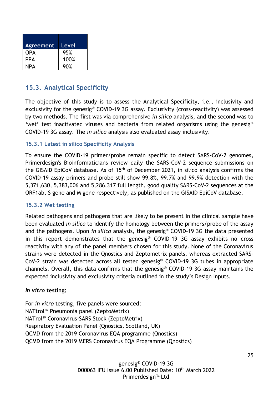| <b>Agreement</b> | Level |
|------------------|-------|
| OPA              | 95%   |
| PPA              | 100%  |
| NPA              | 90%   |

## <span id="page-24-0"></span>**15.3. Analytical Specificity**

The objective of this study is to assess the Analytical Specificity, i.e., inclusivity and exclusivity for the genesig® COVID-19 3G assay. Exclusivity (cross-reactivity) was assessed by two methods. The first was via comprehensive *in silico* analysis, and the second was to 'wet' test inactivated viruses and bacteria from related organisms using the genesig® COVID-19 3G assay. The *in silico* analysis also evaluated assay inclusivity.

#### <span id="page-24-1"></span>**15.3.1 Latest in silico Specificity Analysis**

To ensure the COVID-19 primer/probe remain specific to detect SARS-CoV-2 genomes, Primerdesign's Bioinformaticians review daily the SARS-CoV-2 sequence submissions on the GISAID EpiCoV database. As of 15<sup>th</sup> of December 2021, in silico analysis confirms the COVID-19 assay primers and probe still show 99.8%, 99.7% and 99.9% detection with the 5,371,630, 5,383,006 and 5,286,317 full length, good quality SARS-CoV-2 sequences at the ORF1ab, S gene and M gene respectively, as published on the GISAID EpiCoV database.

#### <span id="page-24-2"></span>**15.3.2 Wet testing**

Related pathogens and pathogens that are likely to be present in the clinical sample have been evaluated *in silico* to identify the homology between the primers/probe of the assay and the pathogens. Upon *in silico* analysis, the genesig® COVID-19 3G the data presented in this report demonstrates that the genesig® COVID-19 3G assay exhibits no cross reactivity with any of the panel members chosen for this study. None of the Coronavirus strains were detected in the Qnostics and Zeptometrix panels, whereas extracted SARS-CoV-2 strain was detected across all tested genesig® COVID-19 3G tubes in appropriate channels. Overall, this data confirms that the genesig® COVID-19 3G assay maintains the expected inclusivity and exclusivity criteria outlined in the study's Design Inputs.

#### *In vitro* **testing:**

For *in vitro* testing, five panels were sourced: NATtrol™ Pneumonia panel (ZeptoMetrix) NATrol™ Coronavirus-SARS Stock (ZeptoMetrix) Respiratory Evaluation Panel (Qnostics, Scotland, UK) QCMD from the 2019 Coronavirus EQA programme (Qnostics) QCMD from the 2019 MERS Coronavirus EQA Programme (Qnostics)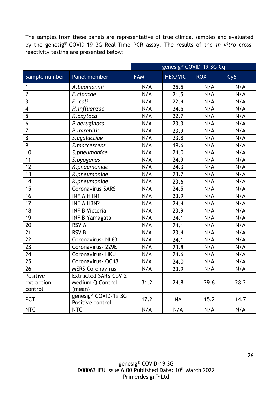The samples from these panels are representative of true clinical samples and evaluated by the genesig® COVID-19 3G Real-Time PCR assay. The results of the *in vitro* crossreactivity testing are presented below:

|                         |                                          | genesig® COVID-19 3G Cq |                |            |      |  |
|-------------------------|------------------------------------------|-------------------------|----------------|------------|------|--|
| Sample number           | Panel member                             | <b>FAM</b>              | <b>HEX/VIC</b> | <b>ROX</b> | Cy5  |  |
| $\mathbf{1}$            | A.baumannii                              | N/A                     | 25.5           | N/A        | N/A  |  |
| $\overline{2}$          | E.cloacae                                | N/A                     | 21.5           | N/A        | N/A  |  |
| $\overline{3}$          | E. coli                                  | N/A                     | 22.4           | N/A        | N/A  |  |
| $\overline{\mathbf{4}}$ | H.influenzae                             | N/A                     | 24.5           | N/A        | N/A  |  |
| 5                       | K.oxytoca                                | N/A                     | 22.7           | N/A        | N/A  |  |
| 6                       | P.aeruginosa                             | N/A                     | 23.3           | N/A        | N/A  |  |
| $\overline{7}$          | P.mirabilis                              | N/A                     | 23.9           | N/A        | N/A  |  |
| 8                       | S.agalactiae                             | N/A                     | 23.8           | N/A        | N/A  |  |
| 9                       | S.marcescens                             | N/A                     | 19.6           | N/A        | N/A  |  |
| 10                      | S.pneumoniae                             | N/A                     | 24.0           | N/A        | N/A  |  |
| 11                      | S.pyogenes                               | N/A                     | 24.9           | N/A        | N/A  |  |
| 12                      | K.pneumoniae                             | N/A                     | 24.3           | N/A        | N/A  |  |
| 13                      | K.pneumoniae                             | N/A                     | 23.7           | N/A        | N/A  |  |
| 14                      | K.pneumoniae                             | N/A                     | 23.6           | N/A        | N/A  |  |
| 15                      | Coronavirus-SARS                         | N/A                     | 24.5           | N/A        | N/A  |  |
| 16                      | <b>INF A H1N1</b>                        | N/A                     | 23.9           | N/A        | N/A  |  |
| 17                      | <b>INF A H3N2</b>                        | N/A                     | 24.4           | N/A        | N/A  |  |
| 18                      | <b>INF B Victoria</b>                    | N/A                     | 23.9           | N/A        | N/A  |  |
| 19                      | <b>INF B Yamagata</b>                    | N/A                     | 24.1           | N/A        | N/A  |  |
| 20                      | <b>RSV A</b>                             | N/A                     | 24.1           | N/A        | N/A  |  |
| 21                      | <b>RSV B</b>                             | N/A                     | 23.4           | N/A        | N/A  |  |
| 22                      | Coronavirus - NL63                       | N/A                     | 24.1           | N/A        | N/A  |  |
| 23                      | Coronavirus - 229E                       | N/A                     | 23.8           | N/A        | N/A  |  |
| 24                      | Coronavirus - HKU                        | N/A                     | 24.6           | N/A        | N/A  |  |
| 25                      | Coronavirus - OC48                       | N/A                     | 24.0           | N/A        | N/A  |  |
| 26                      | <b>MERS Coronavirus</b>                  | N/A                     | 23.9           | N/A        | N/A  |  |
| Positive                | <b>Extracted SARS-CoV-2</b>              |                         |                |            |      |  |
| extraction              | Medium Q Control                         | 31.2                    | 24.8           | 29.6       | 28.2 |  |
| control                 | (mean)                                   |                         |                |            |      |  |
| <b>PCT</b>              | genesig® COVID-19 3G<br>Positive control | 17.2                    | <b>NA</b>      | 15.2       | 14.7 |  |
| <b>NTC</b>              | <b>NTC</b>                               | N/A                     | N/A            | N/A        | N/A  |  |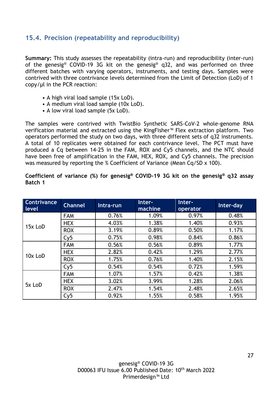#### <span id="page-26-0"></span>**15.4. Precision (repeatability and reproducibility)**

**Summary:** This study assesses the repeatability (intra-run) and reproducibility (inter-run) of the genesig® COVID-19 3G kit on the genesig® q32, and was performed on three different batches with varying operators, instruments, and testing days. Samples were contrived with three contrivance levels determined from the Limit of Detection (LoD) of 1 copy/µl in the PCR reaction:

- A high viral load sample (15x LoD).
- A medium viral load sample (10x LoD).
- A low viral load sample (5x LoD).

The samples were contrived with TwistBio Synthetic SARS-CoV-2 whole-genome RNA verification material and extracted using the KingFisher™ Flex extraction platform. Two operators performed the study on two days, with three different sets of q32 instruments. A total of 10 replicates were obtained for each contrivance level. The PCT must have produced a Cq between 14-25 in the FAM, ROX and Cy5 channels, and the NTC should have been free of amplification in the FAM, HEX, ROX, and Cy5 channels. The precision was measured by reporting the % Coefficient of Variance (Mean Cq/SD x 100).

**Coefficient of variance (%) for genesig® COVID-19 3G kit on the genesig® q32 assay Batch 1**

| <b>Contrivance</b><br>level | <b>Channel</b> | Intra-run | Inter-<br>machine | Inter-<br>operator | Inter-day |
|-----------------------------|----------------|-----------|-------------------|--------------------|-----------|
|                             | <b>FAM</b>     | 0.76%     | 1.09%             | 0.97%              | 0.48%     |
| 15x LoD                     | <b>HEX</b>     | 4.03%     | 1.38%             | 1.40%              | 0.93%     |
|                             | <b>ROX</b>     | 3.19%     | 0.89%             | 0.50%              | 1.17%     |
|                             | Cy5            | 0.75%     | 0.98%             | 0.84%              | 0.86%     |
|                             | <b>FAM</b>     | 0.56%     | 0.56%             | 0.89%              | 1.77%     |
| 10x LoD                     | <b>HEX</b>     | 2.82%     | 0.42%             | 1.29%              | 2.77%     |
|                             | <b>ROX</b>     | 1.75%     | 0.76%             | 1.40%              | 2.15%     |
|                             | Cy5            | 0.54%     | 0.54%             | 0.72%              | 1.59%     |
|                             | <b>FAM</b>     | 1.07%     | 1.57%             | 0.42%              | 1.38%     |
|                             | <b>HEX</b>     | 3.02%     | 3.99%             | 1.28%              | 2.06%     |
| 5x LoD                      | <b>ROX</b>     | 2.47%     | 1.54%             | 2.48%              | 2.65%     |
|                             | Cy5            | 0.92%     | 1.55%             | 0.58%              | 1.95%     |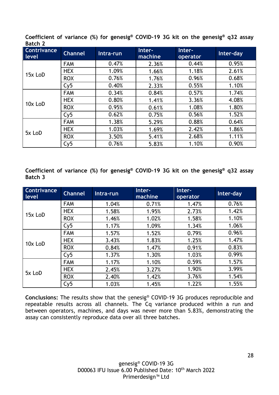**Coefficient of variance (%) for genesig® COVID-19 3G kit on the genesig® q32 assay Batch 2**

| Contrivance<br>level | <b>Channel</b> | Intra-run | Inter-<br>machine | Inter-<br>operator | Inter-day |
|----------------------|----------------|-----------|-------------------|--------------------|-----------|
|                      | <b>FAM</b>     | 0.47%     | 2.36%             | 0.44%              | 0.95%     |
| 15x LoD              | <b>HEX</b>     | 1.09%     | 1.66%             | 1.18%              | 2.61%     |
|                      | <b>ROX</b>     | 0.76%     | 1.76%             | 0.96%              | 0.68%     |
|                      | Cy5            | 0.40%     | 2.33%             | 0.55%              | 1.10%     |
|                      | <b>FAM</b>     | 0.34%     | 0.84%             | 0.57%              | 1.74%     |
| 10x LoD              | <b>HEX</b>     | 0.80%     | 1.41%             | 3.36%              | 4.08%     |
|                      | <b>ROX</b>     | 0.95%     | 0.61%             | 1.08%              | 1.80%     |
|                      | Cy5            | 0.62%     | 0.75%             | 0.56%              | 1.52%     |
| 5x LoD               | <b>FAM</b>     | 1.38%     | 5.29%             | 0.88%              | 0.64%     |
|                      | <b>HEX</b>     | 1.03%     | 1.69%             | 2.42%              | 1.86%     |
|                      | <b>ROX</b>     | 3.50%     | 5.41%             | 2.68%              | 1.11%     |
|                      | Cy5            | 0.76%     | 5.83%             | 1.10%              | 0.90%     |

**Coefficient of variance (%) for genesig® COVID-19 3G kit on the genesig® q32 assay Batch 3**

| Contrivance<br><b>Level</b> | <b>Channel</b> | Intra-run | Inter-<br>machine | Inter-<br>operator | Inter-day |
|-----------------------------|----------------|-----------|-------------------|--------------------|-----------|
|                             | <b>FAM</b>     | 1.04%     | 0.71%             | 1.47%              | 0.76%     |
| 15x LoD                     | <b>HEX</b>     | 1.58%     | 1.95%             | 2.73%              | 1.42%     |
|                             | <b>ROX</b>     | 1.46%     | 1.02%             | 1.58%              | 1.10%     |
|                             | Cy5            | 1.17%     | 1.09%             | 1.34%              | 1.06%     |
|                             | <b>FAM</b>     | 1.57%     | 1.52%             | 0.79%              | 0.96%     |
| 10x LoD                     | <b>HEX</b>     | 3.43%     | 1.83%             | 1.25%              | 1.47%     |
|                             | <b>ROX</b>     | 0.84%     | 1.47%             | 0.91%              | 0.83%     |
|                             | Cy5            | 1.37%     | 1.30%             | 1.03%              | 0.99%     |
|                             | <b>FAM</b>     | 1.17%     | 1.10%             | 0.59%              | 1.57%     |
|                             | <b>HEX</b>     | 2.45%     | 3.27%             | 1.90%              | 3.99%     |
| 5x LoD                      | <b>ROX</b>     | 2.40%     | 1.42%             | 3.76%              | 1.54%     |
|                             | Cy5            | 1.03%     | 1.45%             | 1.22%              | 1.55%     |

**Conclusions:** The results show that the genesig® COVID-19 3G produces reproducible and repeatable results across all channels. The Cq variance produced within a run and between operators, machines, and days was never more than 5.83%, demonstrating the assay can consistently reproduce data over all three batches.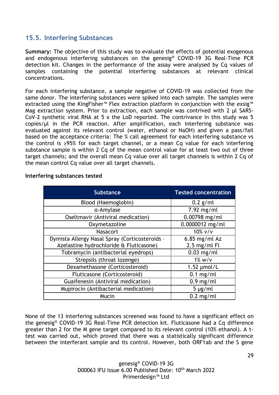#### <span id="page-28-0"></span>**15.5. Interfering Substances**

**Summary:** The objective of this study was to evaluate the effects of potential exogenous and endogenous interfering substances on the genesig® COVID-19 3G Real-Time PCR detection kit. Changes in the performance of the assay were analysed by Cq values of samples containing the potential interfering substances at relevant clinical concentrations.

For each interfering substance, a sample negative of COVID-19 was collected from the same donor. The interfering substances were spiked into each sample. The samples were extracted using the KingFisher<sup>™</sup> Flex extraction platform in conjunction with the exsig<sup>™</sup> Mag extraction system. Prior to extraction, each sample was contrived with 2 μl SARS-CoV-2 synthetic viral RNA at 5 x the LoD reported. The contrivance in this study was 5 copies/μl in the PCR reaction. After amplification, each interfering substance was evaluated against its relevant control (water, ethanol or NaOH) and given a pass/fail based on the acceptance criteria: The % call agreement for each interfering substance vs the control is ≥95% for each target channel, or a mean Cq value for each interfering substance sample is within 2 Cq of the mean control value for at least two out of three target channels; and the overall mean Cq value over all target channels is within 2 Cq of the mean control Cq value over all target channels.

| <b>Substance</b>                               | <b>Tested concentration</b> |
|------------------------------------------------|-----------------------------|
| Blood (Haemoglobin)                            | $0.2$ g/ml                  |
| a-Amylase                                      | $7.92$ mg/ml                |
| Oseltmavir (Antiviral medication)              | $0.00798$ mg/ml             |
| Oxymetazoline                                  | 0.0000012 mg/ml             |
| <b>Nasacort</b>                                | $10\%$ v/v                  |
| Dymista Allergy Nasal Spray (Corticosteroids - | $6.85$ mg/ml Az             |
| Azelastine hydrochloride & Fluticasone)        | $2.5$ mg/ml Fl              |
| Tobramycin (antibacterial eyedrops)            | $0.03$ mg/ml                |
| Strepsils (throat lozenge)                     | $1\%$ w/v                   |
| Dexamethasone (Corticosteroid)                 | $1.52 \mu$ mol/L            |
| Fluticasone (Corticosteroid)                   | $0.1$ mg/ml                 |
| Guaifenesin (Antiviral medication)             | $0.9$ mg/ml                 |
| Mupirocin (Antibacterial medication)           | $5 \mu g/ml$                |
| Mucin                                          | $0.2$ mg/ml                 |

#### **Interfering substances tested**

None of the 13 interfering substances screened was found to have a significant effect on the genesig® COVID-19 3G Real-Time PCR detection kit. Fluticasone had a Cq difference greater than 2 for the M gene target compared to its relevant control (10% ethanol). A ttest was carried out, which proved that there was a statistically significant difference between the interferant sample and its control. However, both ORF1ab and the S gene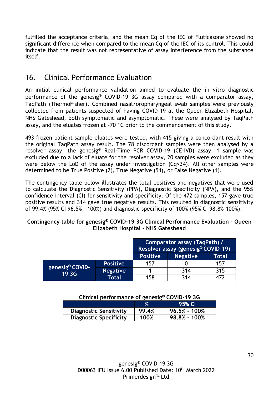fulfilled the acceptance criteria, and the mean Cq of the IEC of Fluticasone showed no significant difference when compared to the mean Cq of the IEC of its control. This could indicate that the result was not representative of assay interference from the substance itself.

## <span id="page-29-0"></span>16. Clinical Performance Evaluation

An initial clinical performance validation aimed to evaluate the in vitro diagnostic performance of the genesig® COVID-19 3G assay compared with a comparator assay, TaqPath (ThermoFisher). Combined nasal/oropharyngeal swab samples were previously collected from patients suspected of having COVID-19 at the Queen Elizabeth Hospital, NHS Gateshead, both symptomatic and asymptomatic. These were analysed by TaqPath assay, and the eluates frozen at -70 °C prior to the commencement of this study.

493 frozen patient sample eluates were tested, with 415 giving a concordant result with the original TaqPath assay result. The 78 discordant samples were then analysed by a resolver assay, the genesig® Real-Time PCR COVID-19 (CE-IVD) assay. 1 sample was excluded due to a lack of eluate for the resolver assay, 20 samples were excluded as they were below the LoD of the assay under investigation (Cq>34). All other samples were determined to be True Positive (2), True Negative (54), or False Negative (1).

The contingency table below illustrates the total positives and negatives that were used to calculate the Diagnostic Sensitivity (PPA), Diagnostic Specificity (NPA), and the 95% confidence interval (CI) for sensitivity and specificity. Of the 472 samples, 157 gave true positive results and 314 gave true negative results. This resulted in diagnostic sensitivity of 99.4% (95% CI 96.5% - 100%) and diagnostic specificity of 100% (95% CI 98.8%-100%).

#### **Contingency table for genesig® COVID-19 3G Clinical Performance Evaluation – Queen Elizabeth Hospital - NHS Gateshead**

|                                      |                 | Comparator assay (TaqPath) /<br>Resolver assay (genesig® COVID-19) |                 |       |
|--------------------------------------|-----------------|--------------------------------------------------------------------|-----------------|-------|
|                                      |                 | <b>Positive</b>                                                    | <b>Negative</b> | Total |
| genesig <sup>®</sup> COVID-<br>19 3G | <b>Positive</b> | 157                                                                |                 | 157   |
|                                      | <b>Negative</b> |                                                                    | 314             | 315   |
|                                      | Total           | 158                                                                | 314             | 477   |

| Clinical performance of genesig® COVID-19 3G |  |
|----------------------------------------------|--|
|                                              |  |

|                               |       | 95% CI           |
|-------------------------------|-------|------------------|
| <b>Diagnostic Sensitivity</b> | 99.4% | $96.5\% - 100\%$ |
| <b>Diagnostic Specificity</b> | 100%  | $98.8\% - 100\%$ |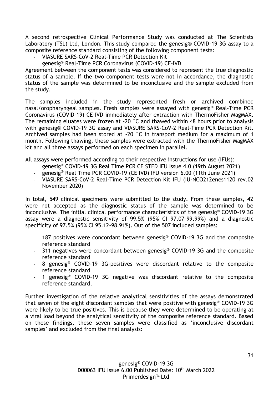A second retrospective Clinical Performance Study was conducted at The Scientists Laboratory (TSL) Ltd, London. This study compared the genesig® COVID-19 3G assay to a composite reference standard consisting of the following component tests:

- VIASURE SARS-CoV-2 Real-Time PCR Detection Kit
- genesig® Real-Time PCR Coronavirus (COVID-19) CE-IVD

Agreement between the component tests was considered to represent the true diagnostic status of a sample. If the two component tests were not in accordance, the diagnostic status of the sample was determined to be inconclusive and the sample excluded from the study.

The samples included in the study represented fresh or archived combined nasal/oropharyngeal samples. Fresh samples were assayed with genesig® Real-Time PCR Coronavirus (COVID-19) CE-IVD immediately after extraction with ThermoFisher MagMAX. The remaining eluates were frozen at -20 °C and thawed within 48 hours prior to analysis with genesig® COVID-19 3G assay and VIASURE SARS-CoV-2 Real-Time PCR Detection Kit. Archived samples had been stored at -20 °C in transport medium for a maximum of 1 month. Following thawing, these samples were extracted with the ThermoFisher MagMAX kit and all three assays performed on each specimen in parallel.

All assays were performed according to their respective instructions for use (IFUs):

- genesig® COVID-19 3G Real Time PCR CE STED IFU Issue 4.0 (19th August 2021)
- genesig® Real Time PCR COVID-19 (CE IVD) IFU version 6.00 (11th June 2021)
- VIASURE SARS-CoV-2 Real-Time PCR Detection Kit IFU (IU-NCO212enes1120 rev.02 November 2020)

In total, 549 clinical specimens were submitted to the study. From these samples, 42 were not accepted as the diagnostic status of the sample was determined to be inconclusive. The initial clinical performance characteristics of the genesig® COVID-19 3G assay were a diagnostic sensitivity of 99.5% (95% CI 97.07-99.99%) and a diagnostic specificity of 97.5% (95% CI 95.12-98.91%). Out of the 507 included samples:

- 187 positives were concordant between genesig® COVID-19 3G and the composite reference standard
- 311 negatives were concordant between genesig® COVID-19 3G and the composite reference standard
- 8 genesig® COVID-19 3G-positives were discordant relative to the composite reference standard
- 1 genesig® COVID-19 3G negative was discordant relative to the composite reference standard.

Further investigation of the relative analytical sensitivities of the assays demonstrated that seven of the eight discordant samples that were positive with genesig® COVID-19 3G were likely to be true positives. This is because they were determined to be operating at a viral load beyond the analytical sensitivity of the composite reference standard. Based on these findings, these seven samples were classified as 'inconclusive discordant samples' and excluded from the final analysis: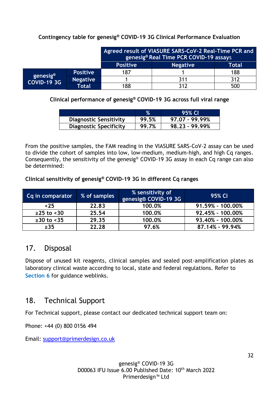#### **Contingency table for genesig® COVID-19 3G Clinical Performance Evaluation**

|                                            |                 | Agreed result of VIASURE SARS-CoV-2 Real-Time PCR and<br>genesig® Real Time PCR COVID-19 assays |                 |       |
|--------------------------------------------|-----------------|-------------------------------------------------------------------------------------------------|-----------------|-------|
|                                            |                 | <b>Positive</b>                                                                                 | <b>Negative</b> | Total |
| genesig <sup>®</sup><br><b>COVID-19 3G</b> | <b>Positive</b> | 187                                                                                             |                 | 188   |
|                                            | <b>Negative</b> |                                                                                                 | 311             | 312   |
|                                            | Total           | 188                                                                                             | 312             | 500   |

**Clinical performance of genesig® COVID-19 3G across full viral range**

|                               |       | 95% CI           |
|-------------------------------|-------|------------------|
| <b>Diagnostic Sensitivity</b> | 99.5% | 97.07 - 99.99%   |
| <b>Diagnostic Specificity</b> | 99.7% | $98.23 - 99.99%$ |

From the positive samples, the FAM reading in the VIASURE SARS-CoV-2 assay can be used to divide the cohort of samples into low, low-medium, medium-high, and high Cq ranges. Consequently, the sensitivity of the genesig® COVID-19 3G assay in each Cq range can also be determined:

**Clinical sensitivity of genesig® COVID-19 3G in different Cq ranges**

| Cq in comparator | % of samples | % sensitivity of<br>genesig® COVID-19 3G | 95% CI           |
|------------------|--------------|------------------------------------------|------------------|
| ~5               | 22.83        | 100.0%                                   | 91.59% - 100.00% |
| $≥25$ to <30     | 25.54        | 100.0%                                   | 92.45% - 100.00% |
| $≥30$ to <35     | 29.35        | 100.0%                                   | 93.40% - 100.00% |
| $\geq$ 35        | 22.28        | 97.6%                                    | 87.14% - 99.94%  |

## <span id="page-31-0"></span>17. Disposal

Dispose of unused kit reagents, clinical samples and sealed post-amplification plates as laboratory clinical waste according to local, state and federal regulations. Refer to **Section 6** for guidance weblinks.

## <span id="page-31-1"></span>18. Technical Support

For Technical support, please contact our dedicated technical support team on:

Phone: +44 (0) 800 0156 494

Email: [support@primerdesign.co.uk](mailto:support@primerdesign.co.uk)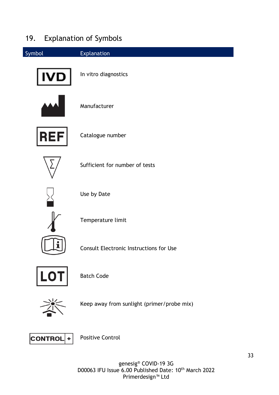## <span id="page-32-0"></span>19. Explanation of Symbols



genesig® COVID-19 3G D00063 IFU Issue 6.00 Published Date: 10<sup>th</sup> March 2022 Primerdesign™ Ltd

Positive Control

**CONTROL**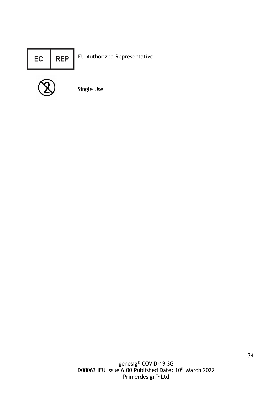



Single Use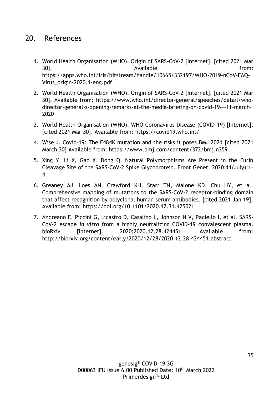## <span id="page-34-0"></span>20. References

- 1. World Health Organisation (WHO). Origin of SARS-CoV-2 [Internet]. [cited 2021 Mar 30]. Available from: [https://apps.who.int/iris/bitstream/handle/10665/332197/WHO-2019-nCoV-FAQ-](https://apps.who.int/iris/bitstream/handle/10665/332197/WHO-2019-nCoV-FAQ-Virus_origin-2020.1-eng.pdf)[Virus\\_origin-2020.1-eng.pdf](https://apps.who.int/iris/bitstream/handle/10665/332197/WHO-2019-nCoV-FAQ-Virus_origin-2020.1-eng.pdf)
- 2. World Health Organisation (WHO). Origin of SARS-CoV-2 [Internet]. [cited 2021 Mar 30]. Available from: [https://www.who.int/director-general/speeches/detail/who](https://www.who.int/director-general/speeches/detail/who-director-general-s-opening-remarks-at-the-media-briefing-on-covid-19---11-march-2020)[director-general-s-opening-remarks-at-the-media-briefing-on-covid-19---11-march-](https://www.who.int/director-general/speeches/detail/who-director-general-s-opening-remarks-at-the-media-briefing-on-covid-19---11-march-2020)[2020](https://www.who.int/director-general/speeches/detail/who-director-general-s-opening-remarks-at-the-media-briefing-on-covid-19---11-march-2020)
- 3. World Health Organisation (WHO). WHO Coronavirus Disease (COVID-19) [Internet]. [cited 2021 Mar 30]. Available from:<https://covid19.who.int/>
- 4. Wise J. Covid-19: The E484K mutation and the risks it poses.BMJ.2021 [cited 2021 March 30] Available from: https://www.bmj.com/content/372/bmj.n359
- 5. Xing Y, Li X, Gao X, Dong Q. Natural Polymorphisms Are Present in the Furin Cleavage Site of the SARS-CoV-2 Spike Glycoprotein. Front Genet. 2020;11(July):1– 4.
- 6. Greaney AJ, Loes AN, Crawford KH, Starr TN, Malone KD, Chu HY, et al. Comprehensive mapping of mutations to the SARS-CoV-2 receptor-binding domain that affect recognition by polyclonal human serum antibodies. [cited 2021 Jan 19]; Available from: https://doi.org/10.1101/2020.12.31.425021
- 7. Andreano E, Piccini G, Licastro D, Casalino L, Johnson N V, Paciello I, et al. SARS-CoV-2 escape *in vitro* from a highly neutralizing COVID-19 convalescent plasma. bioRxiv [Internet]. 2020:2020.12.28.424451. Available from: http://biorxiv.org/content/early/2020/12/28/2020.12.28.424451.abstract